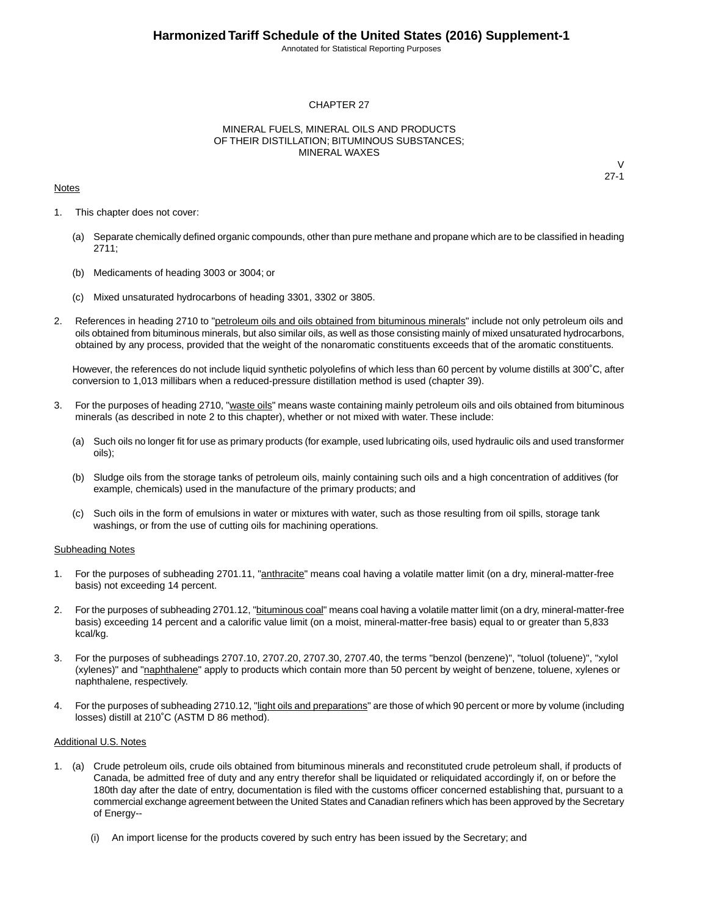Annotated for Statistical Reporting Purposes

#### CHAPTER 27

#### MINERAL FUELS, MINERAL OILS AND PRODUCTS OF THEIR DISTILLATION; BITUMINOUS SUBSTANCES; MINERAL WAXES

#### **Notes**

 $\vee$ 27-1

- 1. This chapter does not cover:
	- (a) Separate chemically defined organic compounds, other than pure methane and propane which are to be classified in heading 2711;
	- (b) Medicaments of heading 3003 or 3004; or
	- (c) Mixed unsaturated hydrocarbons of heading 3301, 3302 or 3805.
- 2. References in heading 2710 to "petroleum oils and oils obtained from bituminous minerals" include not only petroleum oils and oils obtained from bituminous minerals, but also similar oils, as well as those consisting mainly of mixed unsaturated hydrocarbons, obtained by any process, provided that the weight of the nonaromatic constituents exceeds that of the aromatic constituents.

However, the references do not include liquid synthetic polyolefins of which less than 60 percent by volume distills at 300˚C, after conversion to 1,013 millibars when a reduced-pressure distillation method is used (chapter 39).

- 3. For the purposes of heading 2710, "waste oils" means waste containing mainly petroleum oils and oils obtained from bituminous minerals (as described in note 2 to this chapter), whether or not mixed with water. These include:
	- (a) Such oils no longer fit for use as primary products (for example, used lubricating oils, used hydraulic oils and used transformer oils);
	- (b) Sludge oils from the storage tanks of petroleum oils, mainly containing such oils and a high concentration of additives (for example, chemicals) used in the manufacture of the primary products; and
	- (c) Such oils in the form of emulsions in water or mixtures with water, such as those resulting from oil spills, storage tank washings, or from the use of cutting oils for machining operations.

#### Subheading Notes

- 1. For the purposes of subheading 2701.11, "anthracite" means coal having a volatile matter limit (on a dry, mineral-matter-free basis) not exceeding 14 percent.
- 2. For the purposes of subheading 2701.12, "bituminous coal" means coal having a volatile matter limit (on a dry, mineral-matter-free basis) exceeding 14 percent and a calorific value limit (on a moist, mineral-matter-free basis) equal to or greater than 5,833 kcal/kg.
- 3. For the purposes of subheadings 2707.10, 2707.20, 2707.30, 2707.40, the terms "benzol (benzene)", "toluol (toluene)", "xylol (xylenes)" and "naphthalene" apply to products which contain more than 50 percent by weight of benzene, toluene, xylenes or naphthalene, respectively.
- 4. For the purposes of subheading 2710.12, "light oils and preparations" are those of which 90 percent or more by volume (including losses) distill at 210˚C (ASTM D 86 method).

#### Additional U.S. Notes

- 1. (a) Crude petroleum oils, crude oils obtained from bituminous minerals and reconstituted crude petroleum shall, if products of Canada, be admitted free of duty and any entry therefor shall be liquidated or reliquidated accordingly if, on or before the 180th day after the date of entry, documentation is filed with the customs officer concerned establishing that, pursuant to a commercial exchange agreement between the United States and Canadian refiners which has been approved by the Secretary of Energy--
	- (i) An import license for the products covered by such entry has been issued by the Secretary; and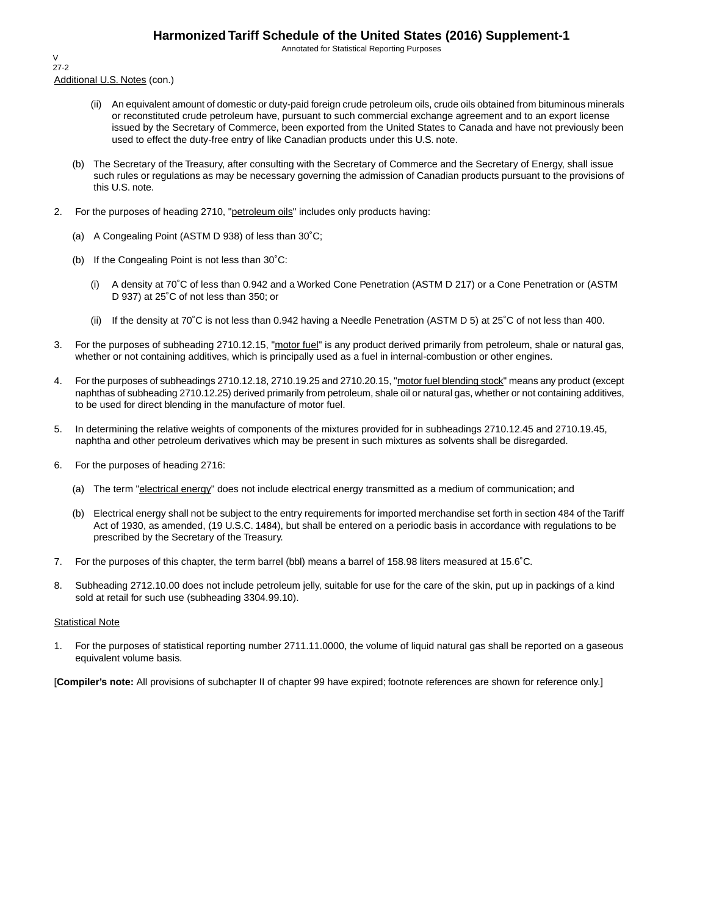Annotated for Statistical Reporting Purposes

Additional U.S. Notes (con.) V 27-2

- (ii) An equivalent amount of domestic or duty-paid foreign crude petroleum oils, crude oils obtained from bituminous minerals or reconstituted crude petroleum have, pursuant to such commercial exchange agreement and to an export license issued by the Secretary of Commerce, been exported from the United States to Canada and have not previously been used to effect the duty-free entry of like Canadian products under this U.S. note.
- (b) The Secretary of the Treasury, after consulting with the Secretary of Commerce and the Secretary of Energy, shall issue such rules or regulations as may be necessary governing the admission of Canadian products pursuant to the provisions of this U.S. note.
- 2. For the purposes of heading 2710, "petroleum oils" includes only products having:
	- (a) A Congealing Point (ASTM D 938) of less than 30˚C;
	- (b) If the Congealing Point is not less than 30˚C:
		- (i) A density at 70˚C of less than 0.942 and a Worked Cone Penetration (ASTM D 217) or a Cone Penetration or (ASTM D 937) at 25˚C of not less than 350; or
		- (ii) If the density at 70˚C is not less than 0.942 having a Needle Penetration (ASTM D 5) at 25˚C of not less than 400.
- 3. For the purposes of subheading 2710.12.15, "motor fuel" is any product derived primarily from petroleum, shale or natural gas, whether or not containing additives, which is principally used as a fuel in internal-combustion or other engines.
- 4. For the purposes of subheadings 2710.12.18, 2710.19.25 and 2710.20.15, "motor fuel blending stock" means any product (except naphthas of subheading 2710.12.25) derived primarily from petroleum, shale oil or natural gas, whether or not containing additives, to be used for direct blending in the manufacture of motor fuel.
- 5. In determining the relative weights of components of the mixtures provided for in subheadings 2710.12.45 and 2710.19.45, naphtha and other petroleum derivatives which may be present in such mixtures as solvents shall be disregarded.
- 6. For the purposes of heading 2716:
	- (a) The term "electrical energy" does not include electrical energy transmitted as a medium of communication; and
	- (b) Electrical energy shall not be subject to the entry requirements for imported merchandise set forth in section 484 of the Tariff Act of 1930, as amended, (19 U.S.C. 1484), but shall be entered on a periodic basis in accordance with regulations to be prescribed by the Secretary of the Treasury.
- 7. For the purposes of this chapter, the term barrel (bbl) means a barrel of 158.98 liters measured at 15.6˚C.
- 8. Subheading 2712.10.00 does not include petroleum jelly, suitable for use for the care of the skin, put up in packings of a kind sold at retail for such use (subheading 3304.99.10).

#### **Statistical Note**

1. For the purposes of statistical reporting number 2711.11.0000, the volume of liquid natural gas shall be reported on a gaseous equivalent volume basis.

[**Compiler's note:** All provisions of subchapter II of chapter 99 have expired; footnote references are shown for reference only.]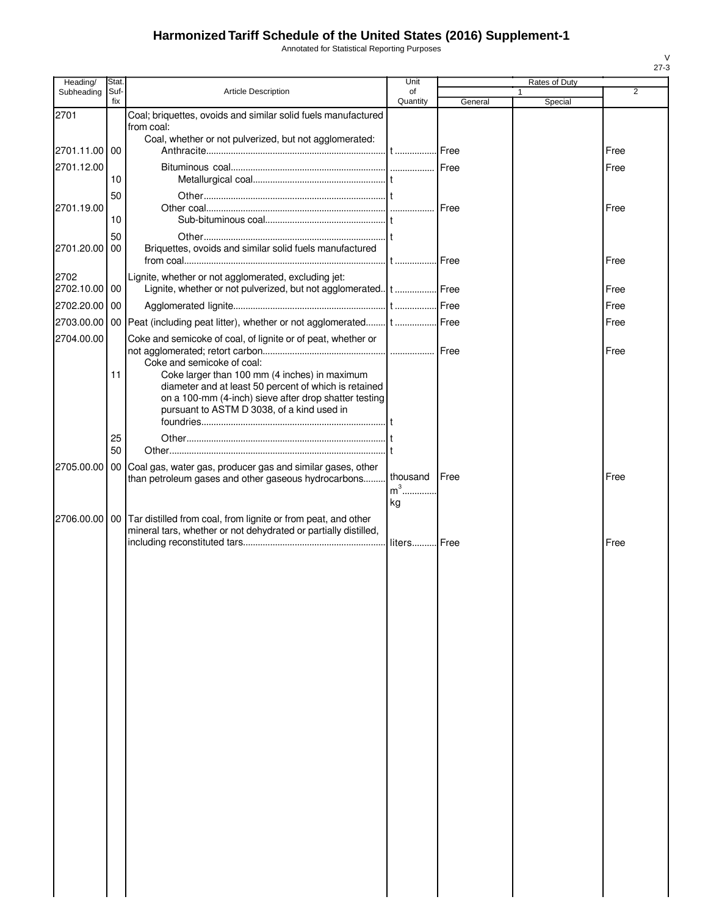Annotated for Statistical Reporting Purposes

| Heading/      | Stat.           |                                                                                                                                     | Unit           |         | Rates of Duty |      |
|---------------|-----------------|-------------------------------------------------------------------------------------------------------------------------------------|----------------|---------|---------------|------|
| Subheading    | Suf-<br>fix     | <b>Article Description</b>                                                                                                          | of<br>Quantity | General | Special       | 2    |
| 2701          |                 | Coal; briquettes, ovoids and similar solid fuels manufactured                                                                       |                |         |               |      |
|               |                 | from coal:                                                                                                                          |                |         |               |      |
| 2701.11.00 00 |                 | Coal, whether or not pulverized, but not agglomerated:                                                                              |                |         |               | Free |
|               |                 |                                                                                                                                     |                |         |               |      |
| 2701.12.00    | 10              |                                                                                                                                     |                |         |               | Free |
|               | 50              |                                                                                                                                     |                |         |               |      |
| 2701.19.00    |                 |                                                                                                                                     |                | Free    |               | Free |
|               | 10              |                                                                                                                                     |                |         |               |      |
|               | 50              |                                                                                                                                     |                |         |               |      |
| 2701.20.00    | 00              | Briquettes, ovoids and similar solid fuels manufactured                                                                             |                |         |               |      |
|               |                 |                                                                                                                                     |                | Free    |               | Free |
| 2702          |                 | Lignite, whether or not agglomerated, excluding jet:                                                                                |                |         |               |      |
| 2702.10.00 00 |                 | Lignite, whether or not pulverized, but not agglomerated. t  Free                                                                   |                |         |               | Free |
| 2702.20.00 00 |                 |                                                                                                                                     |                |         |               | Free |
| 2703.00.00    |                 |                                                                                                                                     |                | Free    |               | Free |
| 2704.00.00    |                 | Coke and semicoke of coal, of lignite or of peat, whether or                                                                        |                |         |               |      |
|               |                 | Coke and semicoke of coal:                                                                                                          |                |         |               | Free |
|               | 11              | Coke larger than 100 mm (4 inches) in maximum                                                                                       |                |         |               |      |
|               |                 | diameter and at least 50 percent of which is retained                                                                               |                |         |               |      |
|               |                 | on a 100-mm (4-inch) sieve after drop shatter testing<br>pursuant to ASTM D 3038, of a kind used in                                 |                |         |               |      |
|               |                 |                                                                                                                                     |                |         |               |      |
|               | 25              |                                                                                                                                     |                |         |               |      |
|               | 50              |                                                                                                                                     |                |         |               |      |
| 2705.00.00    | 00 <sub>1</sub> | Coal gas, water gas, producer gas and similar gases, other                                                                          |                |         |               |      |
|               |                 | than petroleum gases and other gaseous hydrocarbons                                                                                 | thousand       | Free    |               | Free |
|               |                 |                                                                                                                                     | $m3$           |         |               |      |
|               |                 |                                                                                                                                     | kg             |         |               |      |
| 2706.00.00    |                 | 00 Tar distilled from coal, from lignite or from peat, and other<br>mineral tars, whether or not dehydrated or partially distilled, |                |         |               |      |
|               |                 |                                                                                                                                     |                |         |               | Free |
|               |                 |                                                                                                                                     |                |         |               |      |
|               |                 |                                                                                                                                     |                |         |               |      |
|               |                 |                                                                                                                                     |                |         |               |      |
|               |                 |                                                                                                                                     |                |         |               |      |
|               |                 |                                                                                                                                     |                |         |               |      |
|               |                 |                                                                                                                                     |                |         |               |      |
|               |                 |                                                                                                                                     |                |         |               |      |
|               |                 |                                                                                                                                     |                |         |               |      |
|               |                 |                                                                                                                                     |                |         |               |      |
|               |                 |                                                                                                                                     |                |         |               |      |
|               |                 |                                                                                                                                     |                |         |               |      |
|               |                 |                                                                                                                                     |                |         |               |      |
|               |                 |                                                                                                                                     |                |         |               |      |
|               |                 |                                                                                                                                     |                |         |               |      |
|               |                 |                                                                                                                                     |                |         |               |      |
|               |                 |                                                                                                                                     |                |         |               |      |
|               |                 |                                                                                                                                     |                |         |               |      |
|               |                 |                                                                                                                                     |                |         |               |      |
|               |                 |                                                                                                                                     |                |         |               |      |
|               |                 |                                                                                                                                     |                |         |               |      |
|               |                 |                                                                                                                                     |                |         |               |      |
|               |                 |                                                                                                                                     |                |         |               |      |
|               |                 |                                                                                                                                     |                |         |               |      |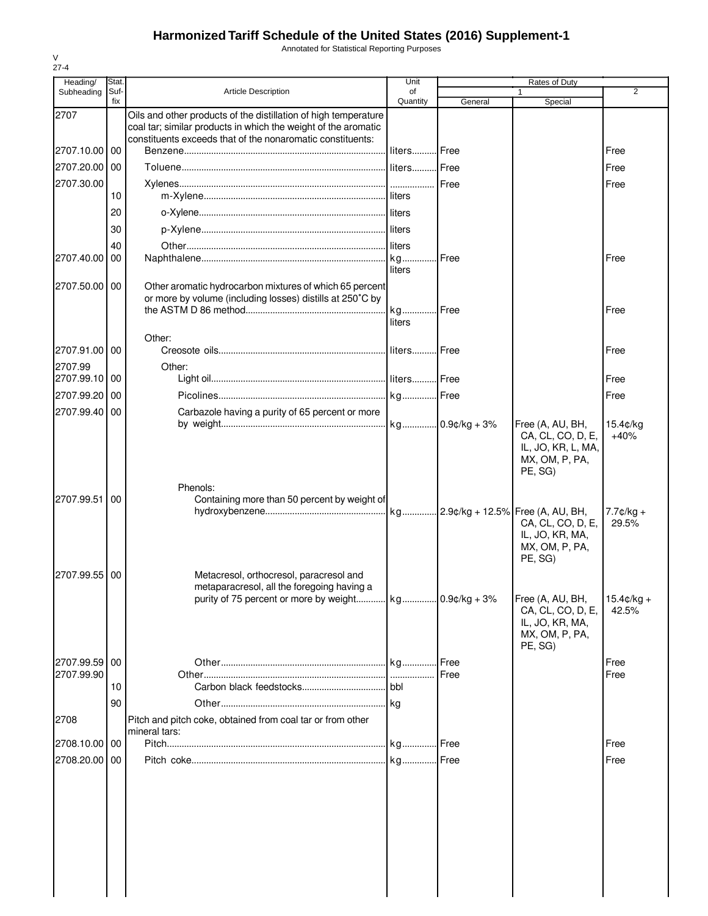Annotated for Statistical Reporting Purposes

| Heading/                 | Stat        |                                                                                                                                                                                                 | Unit           |               | <b>Rates of Duty</b>                                                                     |                              |
|--------------------------|-------------|-------------------------------------------------------------------------------------------------------------------------------------------------------------------------------------------------|----------------|---------------|------------------------------------------------------------------------------------------|------------------------------|
| Subheading               | Suf-<br>fix | <b>Article Description</b>                                                                                                                                                                      | of<br>Quantity | General       | Special                                                                                  | 2                            |
| 2707                     |             | Oils and other products of the distillation of high temperature<br>coal tar; similar products in which the weight of the aromatic<br>constituents exceeds that of the nonaromatic constituents: |                |               |                                                                                          |                              |
| 2707.10.00 00            |             |                                                                                                                                                                                                 | liters         | <b>I</b> Free |                                                                                          | Free                         |
| 2707.20.00               | 00          |                                                                                                                                                                                                 | liters Free    |               |                                                                                          | Free                         |
| 2707.30.00               | 10          |                                                                                                                                                                                                 |                | Free          |                                                                                          | Free                         |
|                          | 20          |                                                                                                                                                                                                 |                |               |                                                                                          |                              |
|                          | 30          |                                                                                                                                                                                                 |                |               |                                                                                          |                              |
|                          | 40          |                                                                                                                                                                                                 |                |               |                                                                                          |                              |
| 2707.40.00               | 00          |                                                                                                                                                                                                 |                | Free          |                                                                                          | Free                         |
| 2707.50.00               | 00          | Other aromatic hydrocarbon mixtures of which 65 percent<br>or more by volume (including losses) distills at 250°C by                                                                            | liters<br>kg   | Free          |                                                                                          | Free                         |
|                          |             |                                                                                                                                                                                                 | liters         |               |                                                                                          |                              |
| 2707.91.00 00            |             | Other:                                                                                                                                                                                          | liters Free    |               |                                                                                          | Free                         |
| 2707.99<br>2707.99.10 00 |             | Other:                                                                                                                                                                                          |                |               |                                                                                          | Free                         |
| 2707.99.20               | 00          |                                                                                                                                                                                                 |                |               |                                                                                          | Free                         |
| 2707.99.40               | -00         | Carbazole having a purity of 65 percent or more                                                                                                                                                 |                |               |                                                                                          |                              |
|                          |             |                                                                                                                                                                                                 |                |               | Free (A, AU, BH,<br>CA, CL, CO, D, E,<br>IL, JO, KR, L, MA,<br>MX, OM, P, PA,<br>PE, SG) | 15.4¢/kg<br>$+40%$           |
| 2707.99.51               | 00          | Phenols:<br>Containing more than 50 percent by weight of                                                                                                                                        |                |               | CA, CL, CO, D, E,<br>IL, JO, KR, MA,<br>MX, OM, P, PA,<br>PE, SG)                        | $7.7 \text{C/kg} +$<br>29.5% |
| 2707.99.55 00            |             | Metacresol, orthocresol, paracresol and<br>metaparacresol, all the foregoing having a                                                                                                           |                |               | Free (A, AU, BH,                                                                         | $15.4 \text{c/kg} +$         |
|                          |             |                                                                                                                                                                                                 |                |               | CA, CL, CO, D, E,<br>IL, JO, KR, MA,<br>MX, OM, P, PA,<br>PE, SG)                        | 42.5%                        |
| 2707.99.59               | 00          |                                                                                                                                                                                                 |                | .I Free       |                                                                                          | Free                         |
| 2707.99.90               | 10          |                                                                                                                                                                                                 |                | Free          |                                                                                          | Free                         |
|                          |             |                                                                                                                                                                                                 |                |               |                                                                                          |                              |
| 2708                     | 90          | Pitch and pitch coke, obtained from coal tar or from other<br>mineral tars:                                                                                                                     |                |               |                                                                                          |                              |
| 2708.10.00 00            |             |                                                                                                                                                                                                 |                |               |                                                                                          | Free                         |
| 2708.20.00 00            |             |                                                                                                                                                                                                 |                | Free          |                                                                                          | Free                         |
|                          |             |                                                                                                                                                                                                 |                |               |                                                                                          |                              |

V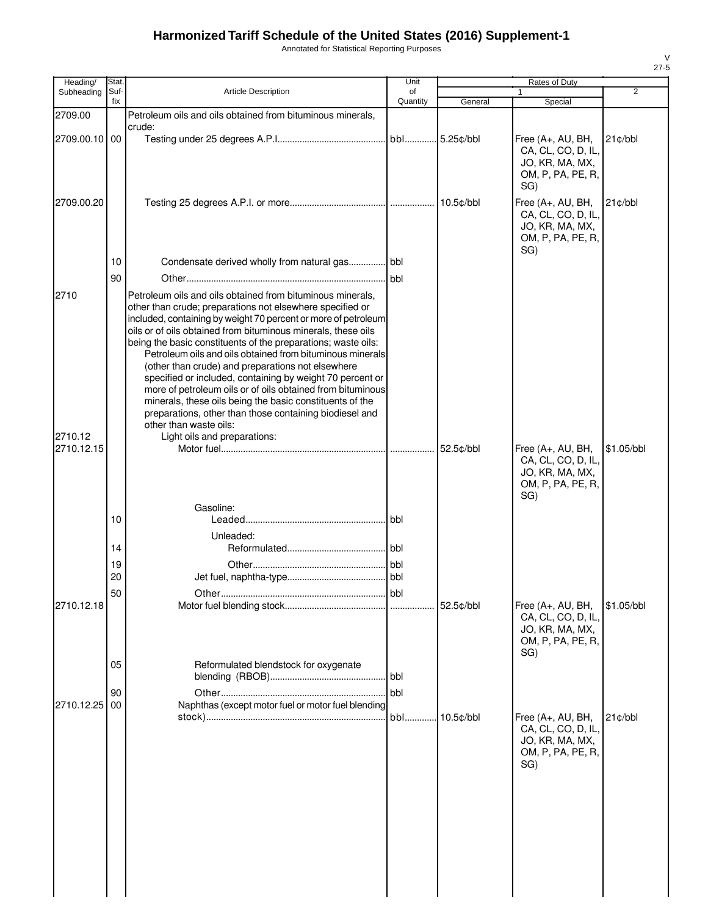Annotated for Statistical Reporting Purposes

| Stat.    |                                                                                                                                                                                                                                                                                                                                                                                                                                                                                                    | Unit                                               |                                                                                                                                                                                                                                                                                                              | Rates of Duty                                                                          |                              |
|----------|----------------------------------------------------------------------------------------------------------------------------------------------------------------------------------------------------------------------------------------------------------------------------------------------------------------------------------------------------------------------------------------------------------------------------------------------------------------------------------------------------|----------------------------------------------------|--------------------------------------------------------------------------------------------------------------------------------------------------------------------------------------------------------------------------------------------------------------------------------------------------------------|----------------------------------------------------------------------------------------|------------------------------|
| Suf-     | <b>Article Description</b>                                                                                                                                                                                                                                                                                                                                                                                                                                                                         | of                                                 |                                                                                                                                                                                                                                                                                                              |                                                                                        | $\overline{2}$               |
|          | Petroleum oils and oils obtained from bituminous minerals,                                                                                                                                                                                                                                                                                                                                                                                                                                         |                                                    |                                                                                                                                                                                                                                                                                                              |                                                                                        |                              |
|          | crude:                                                                                                                                                                                                                                                                                                                                                                                                                                                                                             |                                                    |                                                                                                                                                                                                                                                                                                              | Free (A+, AU, BH,<br>CA, CL, CO, D, IL,<br>JO, KR, MA, MX,<br>OM, P, PA, PE, R,<br>SG) | $21$ $\text{c/bbl}$          |
|          |                                                                                                                                                                                                                                                                                                                                                                                                                                                                                                    |                                                    |                                                                                                                                                                                                                                                                                                              | Free (A+, AU, BH,<br>CA, CL, CO, D, IL,<br>JO, KR, MA, MX,<br>OM, P, PA, PE, R,        | 21c/bbl                      |
| 10       |                                                                                                                                                                                                                                                                                                                                                                                                                                                                                                    |                                                    |                                                                                                                                                                                                                                                                                                              |                                                                                        |                              |
|          | Petroleum oils and oils obtained from bituminous minerals,<br>other than crude; preparations not elsewhere specified or<br>oils or of oils obtained from bituminous minerals, these oils<br>being the basic constituents of the preparations; waste oils:<br>(other than crude) and preparations not elsewhere<br>specified or included, containing by weight 70 percent or<br>minerals, these oils being the basic constituents of the<br>preparations, other than those containing biodiesel and | bbl                                                |                                                                                                                                                                                                                                                                                                              |                                                                                        |                              |
|          | other than waste oils:                                                                                                                                                                                                                                                                                                                                                                                                                                                                             |                                                    |                                                                                                                                                                                                                                                                                                              |                                                                                        |                              |
|          |                                                                                                                                                                                                                                                                                                                                                                                                                                                                                                    |                                                    |                                                                                                                                                                                                                                                                                                              | Free (A+, AU, BH,<br>CA, CL, CO, D, IL,<br>JO, KR, MA, MX,<br>OM, P, PA, PE, R,        | \$1.05/bbl                   |
| 10       | Gasoline:                                                                                                                                                                                                                                                                                                                                                                                                                                                                                          |                                                    |                                                                                                                                                                                                                                                                                                              |                                                                                        |                              |
| 14       |                                                                                                                                                                                                                                                                                                                                                                                                                                                                                                    | bbl                                                |                                                                                                                                                                                                                                                                                                              |                                                                                        |                              |
| 19       |                                                                                                                                                                                                                                                                                                                                                                                                                                                                                                    |                                                    |                                                                                                                                                                                                                                                                                                              |                                                                                        |                              |
|          |                                                                                                                                                                                                                                                                                                                                                                                                                                                                                                    |                                                    |                                                                                                                                                                                                                                                                                                              |                                                                                        |                              |
|          |                                                                                                                                                                                                                                                                                                                                                                                                                                                                                                    |                                                    |                                                                                                                                                                                                                                                                                                              | Free (A+, AU, BH,<br>CA, CL, CO, D, IL,<br>JO, KR, MA, MX,<br>OM, P, PA, PE, R,        | \$1.05/bbl                   |
| 05       | Reformulated blendstock for oxygenate                                                                                                                                                                                                                                                                                                                                                                                                                                                              | bbl                                                |                                                                                                                                                                                                                                                                                                              |                                                                                        |                              |
| 90<br>00 |                                                                                                                                                                                                                                                                                                                                                                                                                                                                                                    | bbl                                                | 10.5¢/bbl                                                                                                                                                                                                                                                                                                    | Free (A+, AU, BH,                                                                      | $21$ $\text{c/bbl}$          |
|          |                                                                                                                                                                                                                                                                                                                                                                                                                                                                                                    |                                                    |                                                                                                                                                                                                                                                                                                              | CA, CL, CO, D, IL,<br>JO, KR, MA, MX,<br>OM, P, PA, PE, R,<br>SG)                      |                              |
|          | fix<br>2709.00.10 00<br>90<br>20<br>50                                                                                                                                                                                                                                                                                                                                                                                                                                                             | Light oils and preparations:<br>Unleaded:<br>∩ther | Quantity<br>bbl<br>included, containing by weight 70 percent or more of petroleum<br>Petroleum oils and oils obtained from bituminous minerals<br>more of petroleum oils or of oils obtained from bituminous<br><b>bbl</b><br><b>bbl</b><br>bbl<br>bbl<br>Naphthas (except motor fuel or motor fuel blending | General<br>.5.25¢/bbl<br>52.5¢/bbl<br>52.5¢/bbl                                        | Special<br>SG)<br>SG)<br>SG) |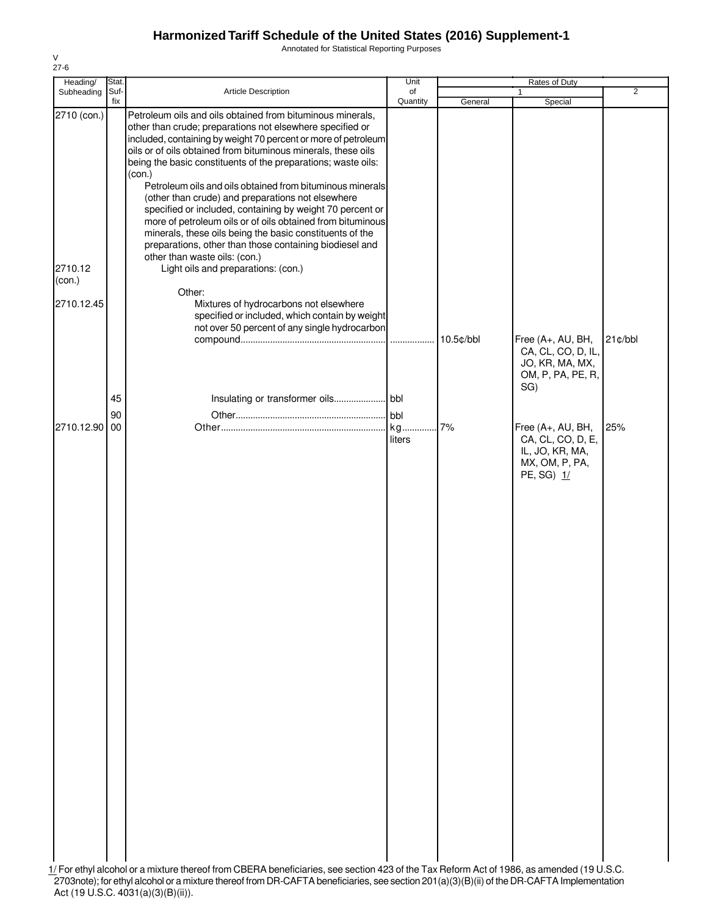Annotated for Statistical Reporting Purposes

| Heading/          | Stat.          |                                                                                                                                                                                                                                                                                                                                                                                                                                                                                                                                                                                    | Unit          |                                                                                                                                                                                                                                  |                                                                      |                |
|-------------------|----------------|------------------------------------------------------------------------------------------------------------------------------------------------------------------------------------------------------------------------------------------------------------------------------------------------------------------------------------------------------------------------------------------------------------------------------------------------------------------------------------------------------------------------------------------------------------------------------------|---------------|----------------------------------------------------------------------------------------------------------------------------------------------------------------------------------------------------------------------------------|----------------------------------------------------------------------|----------------|
| Subheading        | Suf-           | Article Description                                                                                                                                                                                                                                                                                                                                                                                                                                                                                                                                                                | of            |                                                                                                                                                                                                                                  | $\mathbf{1}$                                                         | $\overline{2}$ |
| 2710 (con.)       | fix            | Petroleum oils and oils obtained from bituminous minerals,<br>other than crude; preparations not elsewhere specified or<br>included, containing by weight 70 percent or more of petroleum<br>oils or of oils obtained from bituminous minerals, these oils<br>being the basic constituents of the preparations; waste oils:<br>(con.)<br>Petroleum oils and oils obtained from bituminous minerals<br>(other than crude) and preparations not elsewhere<br>specified or included, containing by weight 70 percent or<br>more of petroleum oils or of oils obtained from bituminous | Quantity      | General                                                                                                                                                                                                                          | Special                                                              |                |
| 2710.12<br>(con.) |                | minerals, these oils being the basic constituents of the<br>preparations, other than those containing biodiesel and<br>other than waste oils: (con.)<br>Light oils and preparations: (con.)<br>Other:                                                                                                                                                                                                                                                                                                                                                                              |               |                                                                                                                                                                                                                                  |                                                                      |                |
| 2710.12.45        |                | Mixtures of hydrocarbons not elsewhere<br>specified or included, which contain by weight<br>not over 50 percent of any single hydrocarbon                                                                                                                                                                                                                                                                                                                                                                                                                                          |               | 10.5¢/bbl                                                                                                                                                                                                                        | Free (A+, AU, BH,<br>CA, CL, CO, D, IL,<br>JO, KR, MA, MX,           | $21$ ¢/bbl     |
| 2710.12.90        | 45<br>90<br>00 |                                                                                                                                                                                                                                                                                                                                                                                                                                                                                                                                                                                    | $I$ bbl<br>kg | 7%                                                                                                                                                                                                                               | OM, P, PA, PE, R,<br>SG)<br>Free (A+, AU, BH,                        | 25%            |
|                   |                |                                                                                                                                                                                                                                                                                                                                                                                                                                                                                                                                                                                    | liters        |                                                                                                                                                                                                                                  | CA, CL, CO, D, E,<br>IL, JO, KR, MA,<br>MX, OM, P, PA,<br>PE, SG) 1/ |                |
|                   |                |                                                                                                                                                                                                                                                                                                                                                                                                                                                                                                                                                                                    |               |                                                                                                                                                                                                                                  |                                                                      |                |
|                   |                | 1/ For ethyl alcohol or a mixture thereof from CBERA beneficiaries, see section 423 of the Tax Reform Act of 1986, as amended (19 U.S.C.<br>re thoroaf from DD, CAETA honoficiarios                                                                                                                                                                                                                                                                                                                                                                                                |               | $0.01(a)/0)/0$ $(1)$ $(1)$ $(1)$ $(1)$ $(1)$ $(1)$ $(1)$ $(1)$ $(1)$ $(1)$ $(1)$ $(1)$ $(1)$ $(1)$ $(1)$ $(1)$ $(1)$ $(1)$ $(1)$ $(1)$ $(1)$ $(1)$ $(1)$ $(1)$ $(1)$ $(1)$ $(1)$ $(1)$ $(1)$ $(1)$ $(1)$ $(1)$ $(1)$ $(1)$ $(1)$ |                                                                      |                |

V 27-6

2703note); for ethyl alcohol or a mixture thereof from DR-CAFTA beneficiaries, see section 201(a)(3)(B)(ii) of theDR-CAFTA Implementation Act (19 U.S.C. 4031(a)(3)(B)(ii)).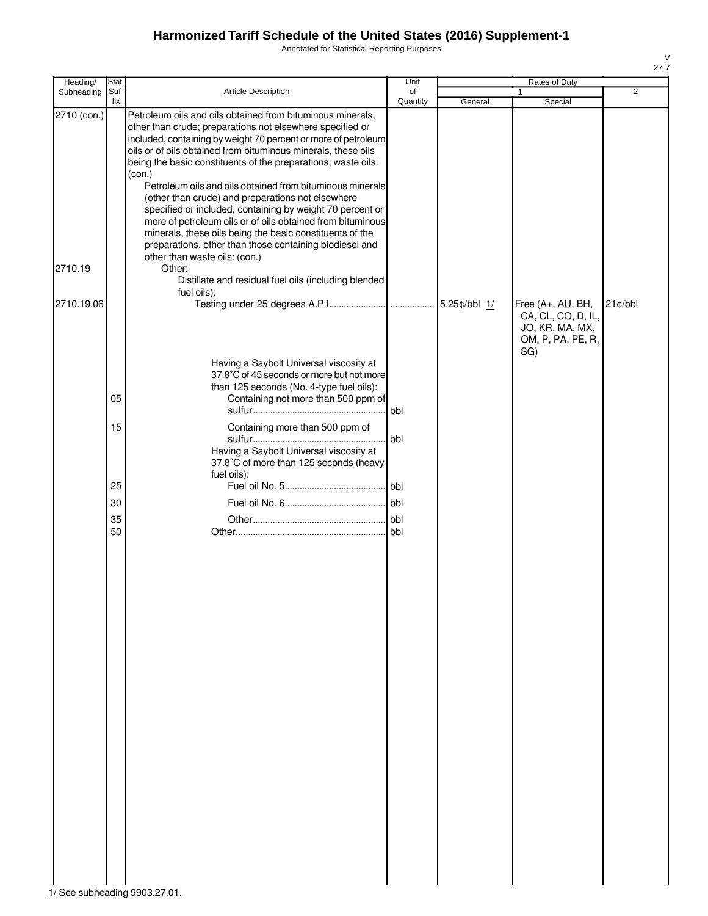Annotated for Statistical Reporting Purposes

| Heading/    | Stat.       |                                                                                                                                                                                                                                                                                                                                                                                                                                                                                                                      | Unit           |              | Rates of Duty                                                                          |                |
|-------------|-------------|----------------------------------------------------------------------------------------------------------------------------------------------------------------------------------------------------------------------------------------------------------------------------------------------------------------------------------------------------------------------------------------------------------------------------------------------------------------------------------------------------------------------|----------------|--------------|----------------------------------------------------------------------------------------|----------------|
| Subheading  | Suf-<br>fix | Article Description                                                                                                                                                                                                                                                                                                                                                                                                                                                                                                  | of<br>Quantity | General      | 1<br>Special                                                                           | $\overline{2}$ |
| 2710 (con.) |             | Petroleum oils and oils obtained from bituminous minerals,<br>other than crude; preparations not elsewhere specified or<br>included, containing by weight 70 percent or more of petroleum<br>oils or of oils obtained from bituminous minerals, these oils<br>being the basic constituents of the preparations; waste oils:<br>(con.)<br>Petroleum oils and oils obtained from bituminous minerals<br>(other than crude) and preparations not elsewhere<br>specified or included, containing by weight 70 percent or |                |              |                                                                                        |                |
|             |             | more of petroleum oils or of oils obtained from bituminous<br>minerals, these oils being the basic constituents of the                                                                                                                                                                                                                                                                                                                                                                                               |                |              |                                                                                        |                |
|             |             | preparations, other than those containing biodiesel and                                                                                                                                                                                                                                                                                                                                                                                                                                                              |                |              |                                                                                        |                |
| 2710.19     |             | other than waste oils: (con.)<br>Other:<br>Distillate and residual fuel oils (including blended                                                                                                                                                                                                                                                                                                                                                                                                                      |                |              |                                                                                        |                |
|             |             | fuel oils):                                                                                                                                                                                                                                                                                                                                                                                                                                                                                                          |                |              |                                                                                        |                |
| 2710.19.06  |             |                                                                                                                                                                                                                                                                                                                                                                                                                                                                                                                      |                | 5.25¢/bbl 1/ | Free (A+, AU, BH,<br>CA, CL, CO, D, IL,<br>JO, KR, MA, MX,<br>OM, P, PA, PE, R,<br>SG) | $21$ ¢/bbl     |
|             |             | Having a Saybolt Universal viscosity at                                                                                                                                                                                                                                                                                                                                                                                                                                                                              |                |              |                                                                                        |                |
|             |             | 37.8°C of 45 seconds or more but not more<br>than 125 seconds (No. 4-type fuel oils):                                                                                                                                                                                                                                                                                                                                                                                                                                |                |              |                                                                                        |                |
|             | 05          | Containing not more than 500 ppm of                                                                                                                                                                                                                                                                                                                                                                                                                                                                                  | bbl            |              |                                                                                        |                |
|             | 15          | Containing more than 500 ppm of                                                                                                                                                                                                                                                                                                                                                                                                                                                                                      |                |              |                                                                                        |                |
|             |             | Having a Saybolt Universal viscosity at<br>37.8°C of more than 125 seconds (heavy                                                                                                                                                                                                                                                                                                                                                                                                                                    | bbl            |              |                                                                                        |                |
|             | 25          | fuel oils):                                                                                                                                                                                                                                                                                                                                                                                                                                                                                                          | . bbl          |              |                                                                                        |                |
|             | 30          |                                                                                                                                                                                                                                                                                                                                                                                                                                                                                                                      |                |              |                                                                                        |                |
|             | 35          |                                                                                                                                                                                                                                                                                                                                                                                                                                                                                                                      |                |              |                                                                                        |                |
|             | 50          |                                                                                                                                                                                                                                                                                                                                                                                                                                                                                                                      | l bbl.         |              |                                                                                        |                |
|             |             |                                                                                                                                                                                                                                                                                                                                                                                                                                                                                                                      |                |              |                                                                                        |                |
|             |             |                                                                                                                                                                                                                                                                                                                                                                                                                                                                                                                      |                |              |                                                                                        |                |
|             |             |                                                                                                                                                                                                                                                                                                                                                                                                                                                                                                                      |                |              |                                                                                        |                |
|             |             |                                                                                                                                                                                                                                                                                                                                                                                                                                                                                                                      |                |              |                                                                                        |                |
|             |             |                                                                                                                                                                                                                                                                                                                                                                                                                                                                                                                      |                |              |                                                                                        |                |
|             |             |                                                                                                                                                                                                                                                                                                                                                                                                                                                                                                                      |                |              |                                                                                        |                |
|             |             |                                                                                                                                                                                                                                                                                                                                                                                                                                                                                                                      |                |              |                                                                                        |                |
|             |             |                                                                                                                                                                                                                                                                                                                                                                                                                                                                                                                      |                |              |                                                                                        |                |
|             |             |                                                                                                                                                                                                                                                                                                                                                                                                                                                                                                                      |                |              |                                                                                        |                |
|             |             |                                                                                                                                                                                                                                                                                                                                                                                                                                                                                                                      |                |              |                                                                                        |                |
|             |             |                                                                                                                                                                                                                                                                                                                                                                                                                                                                                                                      |                |              |                                                                                        |                |
|             |             |                                                                                                                                                                                                                                                                                                                                                                                                                                                                                                                      |                |              |                                                                                        |                |
|             |             |                                                                                                                                                                                                                                                                                                                                                                                                                                                                                                                      |                |              |                                                                                        |                |
|             |             |                                                                                                                                                                                                                                                                                                                                                                                                                                                                                                                      |                |              |                                                                                        |                |
|             |             |                                                                                                                                                                                                                                                                                                                                                                                                                                                                                                                      |                |              |                                                                                        |                |
|             |             |                                                                                                                                                                                                                                                                                                                                                                                                                                                                                                                      |                |              |                                                                                        |                |
|             |             |                                                                                                                                                                                                                                                                                                                                                                                                                                                                                                                      |                |              |                                                                                        |                |
|             |             |                                                                                                                                                                                                                                                                                                                                                                                                                                                                                                                      |                |              |                                                                                        |                |
|             |             |                                                                                                                                                                                                                                                                                                                                                                                                                                                                                                                      |                |              |                                                                                        |                |
|             |             |                                                                                                                                                                                                                                                                                                                                                                                                                                                                                                                      |                |              |                                                                                        |                |
|             |             |                                                                                                                                                                                                                                                                                                                                                                                                                                                                                                                      |                |              |                                                                                        |                |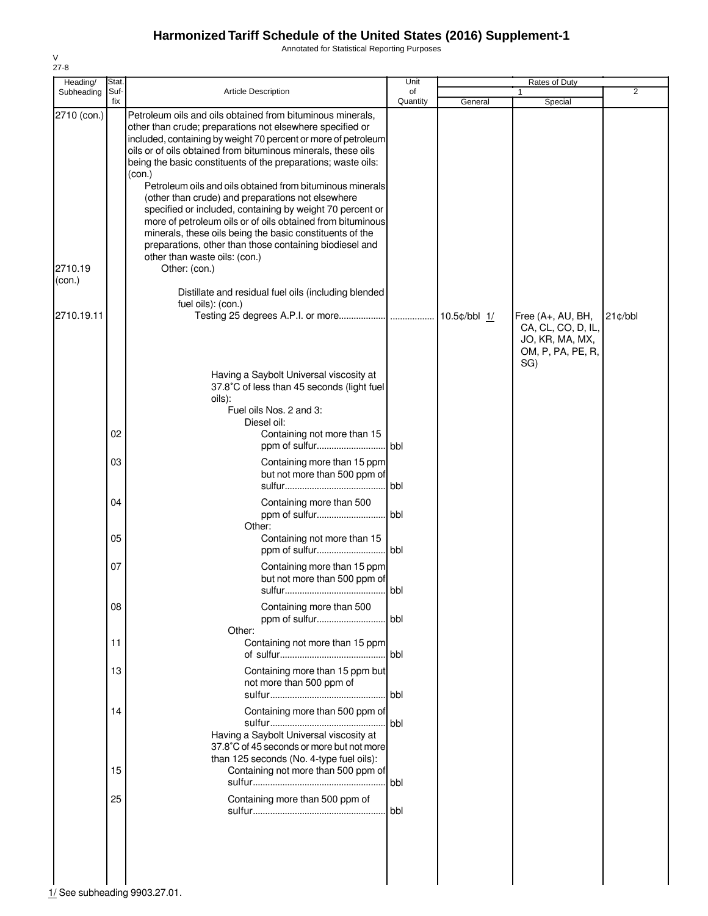Annotated for Statistical Reporting Purposes

| Heading/                                       | Stat.       |                                                                                                                                                                                                                                                                                                                                                                                                                                                                                                                                                                                                                                                                                                                                                                                                                                           | Unit           | Rates of Duty  |                                                            |            |
|------------------------------------------------|-------------|-------------------------------------------------------------------------------------------------------------------------------------------------------------------------------------------------------------------------------------------------------------------------------------------------------------------------------------------------------------------------------------------------------------------------------------------------------------------------------------------------------------------------------------------------------------------------------------------------------------------------------------------------------------------------------------------------------------------------------------------------------------------------------------------------------------------------------------------|----------------|----------------|------------------------------------------------------------|------------|
| Subheading                                     | Suf-<br>fix | <b>Article Description</b>                                                                                                                                                                                                                                                                                                                                                                                                                                                                                                                                                                                                                                                                                                                                                                                                                | of<br>Quantity | General        | 1<br>Special                                               | 2          |
| 2710 (con.)<br>2710.19<br>(con.)<br>2710.19.11 |             | Petroleum oils and oils obtained from bituminous minerals,<br>other than crude; preparations not elsewhere specified or<br>included, containing by weight 70 percent or more of petroleum<br>oils or of oils obtained from bituminous minerals, these oils<br>being the basic constituents of the preparations; waste oils:<br>(con.)<br>Petroleum oils and oils obtained from bituminous minerals<br>(other than crude) and preparations not elsewhere<br>specified or included, containing by weight 70 percent or<br>more of petroleum oils or of oils obtained from bituminous<br>minerals, these oils being the basic constituents of the<br>preparations, other than those containing biodiesel and<br>other than waste oils: (con.)<br>Other: (con.)<br>Distillate and residual fuel oils (including blended<br>fuel oils): (con.) |                | $10.5¢/bbl$ 1/ | Free (A+, AU, BH,<br>CA, CL, CO, D, IL,<br>JO, KR, MA, MX, | $21$ ¢/bbl |
|                                                |             | Having a Saybolt Universal viscosity at<br>37.8°C of less than 45 seconds (light fuel<br>oils):<br>Fuel oils Nos. 2 and 3:                                                                                                                                                                                                                                                                                                                                                                                                                                                                                                                                                                                                                                                                                                                |                |                | OM, P, PA, PE, R,<br>SG)                                   |            |
|                                                | 02          | Diesel oil:<br>Containing not more than 15                                                                                                                                                                                                                                                                                                                                                                                                                                                                                                                                                                                                                                                                                                                                                                                                |                |                |                                                            |            |
|                                                | 03          | Containing more than 15 ppm<br>but not more than 500 ppm of                                                                                                                                                                                                                                                                                                                                                                                                                                                                                                                                                                                                                                                                                                                                                                               | bbl            |                |                                                            |            |
|                                                | 04          | Containing more than 500<br>ppm of sulfur<br>Other:                                                                                                                                                                                                                                                                                                                                                                                                                                                                                                                                                                                                                                                                                                                                                                                       | <b>bbl</b>     |                |                                                            |            |
|                                                | 05          | Containing not more than 15                                                                                                                                                                                                                                                                                                                                                                                                                                                                                                                                                                                                                                                                                                                                                                                                               | bbl            |                |                                                            |            |
|                                                | 07          | Containing more than 15 ppm<br>but not more than 500 ppm of<br>sulfur                                                                                                                                                                                                                                                                                                                                                                                                                                                                                                                                                                                                                                                                                                                                                                     | bbl            |                |                                                            |            |
|                                                | 08          | Containing more than 500                                                                                                                                                                                                                                                                                                                                                                                                                                                                                                                                                                                                                                                                                                                                                                                                                  | l bbl          |                |                                                            |            |
|                                                | 11          | Other:<br>Containing not more than 15 ppm                                                                                                                                                                                                                                                                                                                                                                                                                                                                                                                                                                                                                                                                                                                                                                                                 | l bbl          |                |                                                            |            |
|                                                | 13          | Containing more than 15 ppm but<br>not more than 500 ppm of                                                                                                                                                                                                                                                                                                                                                                                                                                                                                                                                                                                                                                                                                                                                                                               | <b>bbl</b>     |                |                                                            |            |
|                                                | 14          | Containing more than 500 ppm of<br>Having a Saybolt Universal viscosity at<br>37.8°C of 45 seconds or more but not more<br>than 125 seconds (No. 4-type fuel oils):                                                                                                                                                                                                                                                                                                                                                                                                                                                                                                                                                                                                                                                                       | bbl            |                |                                                            |            |
|                                                | 15          | Containing not more than 500 ppm of                                                                                                                                                                                                                                                                                                                                                                                                                                                                                                                                                                                                                                                                                                                                                                                                       | bbl            |                |                                                            |            |
|                                                | 25          | Containing more than 500 ppm of                                                                                                                                                                                                                                                                                                                                                                                                                                                                                                                                                                                                                                                                                                                                                                                                           | bbl            |                |                                                            |            |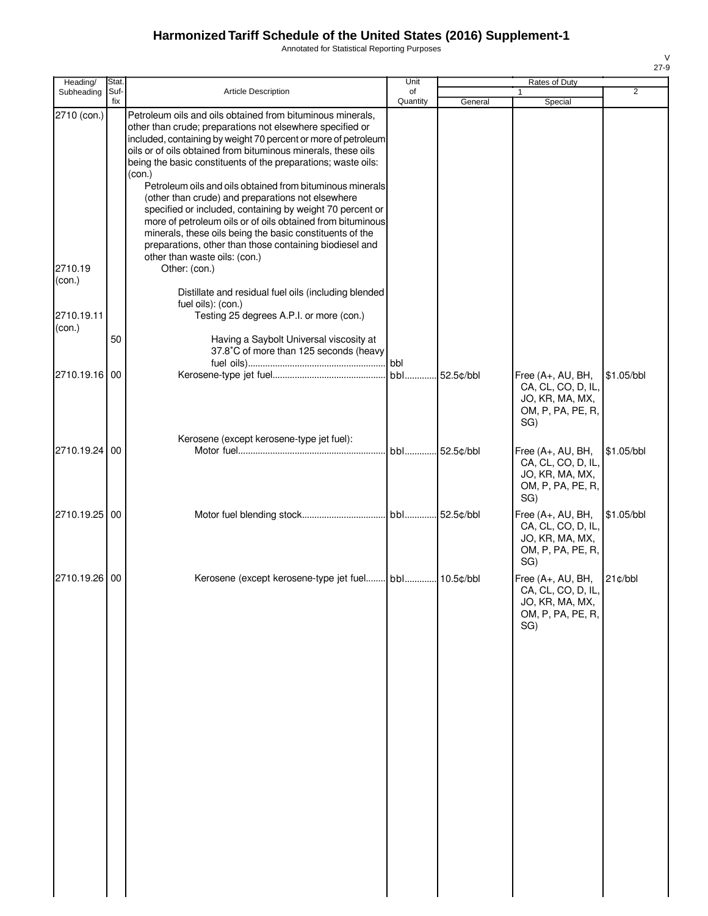Annotated for Statistical Reporting Purposes

| Heading/             | Stat.       |                                                                                                                                                                                                                                                                                                                                                                                                                                                                                                                      | Unit           |         | Rates of Duty                                                                          |                     |
|----------------------|-------------|----------------------------------------------------------------------------------------------------------------------------------------------------------------------------------------------------------------------------------------------------------------------------------------------------------------------------------------------------------------------------------------------------------------------------------------------------------------------------------------------------------------------|----------------|---------|----------------------------------------------------------------------------------------|---------------------|
| Subheading           | Suf-<br>fix | Article Description                                                                                                                                                                                                                                                                                                                                                                                                                                                                                                  | of<br>Quantity | General | Special                                                                                | $\overline{2}$      |
| 2710 (con.)          |             | Petroleum oils and oils obtained from bituminous minerals,<br>other than crude; preparations not elsewhere specified or<br>included, containing by weight 70 percent or more of petroleum<br>oils or of oils obtained from bituminous minerals, these oils<br>being the basic constituents of the preparations; waste oils:<br>(con.)<br>Petroleum oils and oils obtained from bituminous minerals<br>(other than crude) and preparations not elsewhere<br>specified or included, containing by weight 70 percent or |                |         |                                                                                        |                     |
| 2710.19              |             | more of petroleum oils or of oils obtained from bituminous<br>minerals, these oils being the basic constituents of the<br>preparations, other than those containing biodiesel and<br>other than waste oils: (con.)<br>Other: (con.)                                                                                                                                                                                                                                                                                  |                |         |                                                                                        |                     |
| (con.)<br>2710.19.11 |             | Distillate and residual fuel oils (including blended<br>fuel oils): (con.)<br>Testing 25 degrees A.P.I. or more (con.)                                                                                                                                                                                                                                                                                                                                                                                               |                |         |                                                                                        |                     |
| (con.)               | 50          | Having a Saybolt Universal viscosity at<br>37.8°C of more than 125 seconds (heavy                                                                                                                                                                                                                                                                                                                                                                                                                                    |                |         |                                                                                        |                     |
| 2710.19.16 00        |             |                                                                                                                                                                                                                                                                                                                                                                                                                                                                                                                      |                |         | Free (A+, AU, BH,<br>CA, CL, CO, D, IL,<br>JO, KR, MA, MX,<br>OM, P, PA, PE, R,<br>SG) | \$1.05/bbl          |
| 2710.19.24 00        |             | Kerosene (except kerosene-type jet fuel):                                                                                                                                                                                                                                                                                                                                                                                                                                                                            | bbl 52.5¢/bbl  |         | Free (A+, AU, BH,<br>CA, CL, CO, D, IL,<br>JO, KR, MA, MX,<br>OM, P, PA, PE, R,<br>SG) | \$1.05/bbl          |
| 2710.19.25 00        |             |                                                                                                                                                                                                                                                                                                                                                                                                                                                                                                                      |                |         | Free (A+, AU, BH,<br>CA, CL, CO, D, IL,<br>JO, KR, MA, MX,<br>OM, P, PA, PE, R,<br>SG) | \$1.05/bbl          |
| 2710.19.26 00        |             |                                                                                                                                                                                                                                                                                                                                                                                                                                                                                                                      |                |         | Free (A+, AU, BH,<br>CA, CL, CO, D, IL,<br>JO, KR, MA, MX,<br>OM, P, PA, PE, R,<br>SG) | $21$ $\text{c/bbl}$ |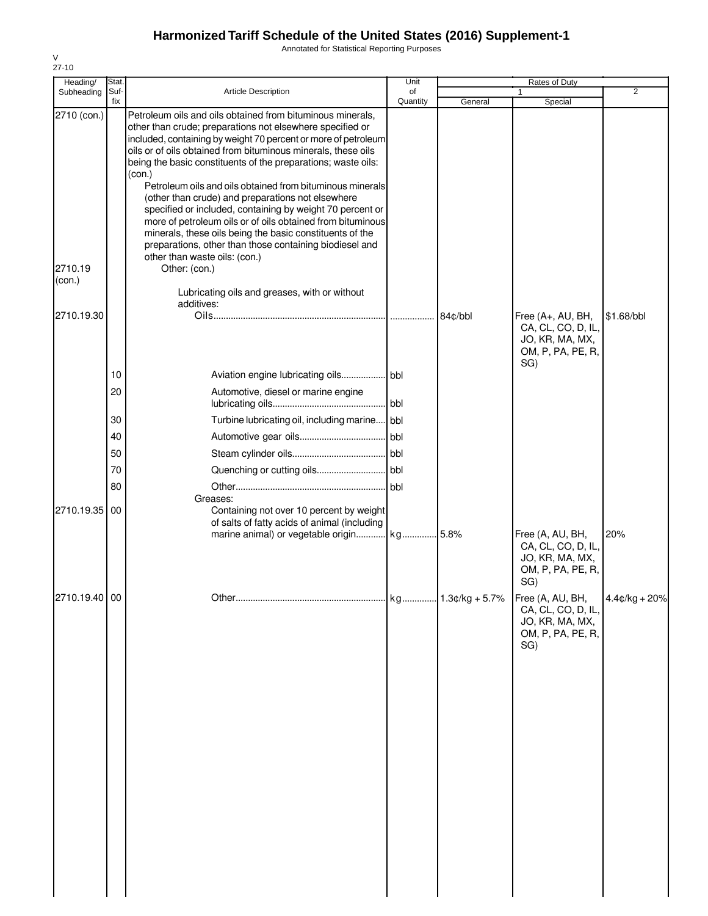Annotated for Statistical Reporting Purposes

| Heading/                         | Stat.       |                                                                                                                                                                                                                                                                                                                                                                                                                                                                                                                                                                                                                                                                                                                                                                                                                            | Unit           | Rates of Duty |                                                                                        |                 |
|----------------------------------|-------------|----------------------------------------------------------------------------------------------------------------------------------------------------------------------------------------------------------------------------------------------------------------------------------------------------------------------------------------------------------------------------------------------------------------------------------------------------------------------------------------------------------------------------------------------------------------------------------------------------------------------------------------------------------------------------------------------------------------------------------------------------------------------------------------------------------------------------|----------------|---------------|----------------------------------------------------------------------------------------|-----------------|
| Subheading                       | Suf-<br>fix | Article Description                                                                                                                                                                                                                                                                                                                                                                                                                                                                                                                                                                                                                                                                                                                                                                                                        | of<br>Quantity | General       | 1<br>Special                                                                           | $\overline{2}$  |
| 2710 (con.)<br>2710.19<br>(con.) |             | Petroleum oils and oils obtained from bituminous minerals,<br>other than crude; preparations not elsewhere specified or<br>included, containing by weight 70 percent or more of petroleum<br>oils or of oils obtained from bituminous minerals, these oils<br>being the basic constituents of the preparations; waste oils:<br>(con.)<br>Petroleum oils and oils obtained from bituminous minerals<br>(other than crude) and preparations not elsewhere<br>specified or included, containing by weight 70 percent or<br>more of petroleum oils or of oils obtained from bituminous<br>minerals, these oils being the basic constituents of the<br>preparations, other than those containing biodiesel and<br>other than waste oils: (con.)<br>Other: (con.)<br>Lubricating oils and greases, with or without<br>additives: |                |               |                                                                                        |                 |
| 2710.19.30                       |             |                                                                                                                                                                                                                                                                                                                                                                                                                                                                                                                                                                                                                                                                                                                                                                                                                            |                | 84¢/bbl       | Free (A+, AU, BH,<br>CA, CL, CO, D, IL,<br>JO, KR, MA, MX,<br>OM, P, PA, PE, R,<br>SG) | \$1.68/bbl      |
|                                  | 10          |                                                                                                                                                                                                                                                                                                                                                                                                                                                                                                                                                                                                                                                                                                                                                                                                                            |                |               |                                                                                        |                 |
|                                  | 20          | Automotive, diesel or marine engine                                                                                                                                                                                                                                                                                                                                                                                                                                                                                                                                                                                                                                                                                                                                                                                        | .lbbl          |               |                                                                                        |                 |
|                                  | 30          | Turbine lubricating oil, including marine bbl                                                                                                                                                                                                                                                                                                                                                                                                                                                                                                                                                                                                                                                                                                                                                                              |                |               |                                                                                        |                 |
|                                  | 40          |                                                                                                                                                                                                                                                                                                                                                                                                                                                                                                                                                                                                                                                                                                                                                                                                                            |                |               |                                                                                        |                 |
|                                  | 50          |                                                                                                                                                                                                                                                                                                                                                                                                                                                                                                                                                                                                                                                                                                                                                                                                                            |                |               |                                                                                        |                 |
|                                  | 70          |                                                                                                                                                                                                                                                                                                                                                                                                                                                                                                                                                                                                                                                                                                                                                                                                                            |                |               |                                                                                        |                 |
|                                  | 80          |                                                                                                                                                                                                                                                                                                                                                                                                                                                                                                                                                                                                                                                                                                                                                                                                                            |                |               |                                                                                        |                 |
| 2710.19.35                       | 00          | Greases:<br>Containing not over 10 percent by weight<br>of salts of fatty acids of animal (including<br>marine animal) or vegetable origin kg 5.8%                                                                                                                                                                                                                                                                                                                                                                                                                                                                                                                                                                                                                                                                         |                |               | Free (A, AU, BH,<br>CA, CL, CO, D, IL,<br>JO, KR, MA, MX,<br>OM, P, PA, PE, R,<br>SG)  | 20%             |
| 2710.19.40 00                    |             |                                                                                                                                                                                                                                                                                                                                                                                                                                                                                                                                                                                                                                                                                                                                                                                                                            |                |               | Free (A, AU, BH,<br>CA, CL, CO, D, IL,<br>JO, KR, MA, MX,<br>OM, P, PA, PE, R,<br>SG)  | $4.4¢/kg + 20%$ |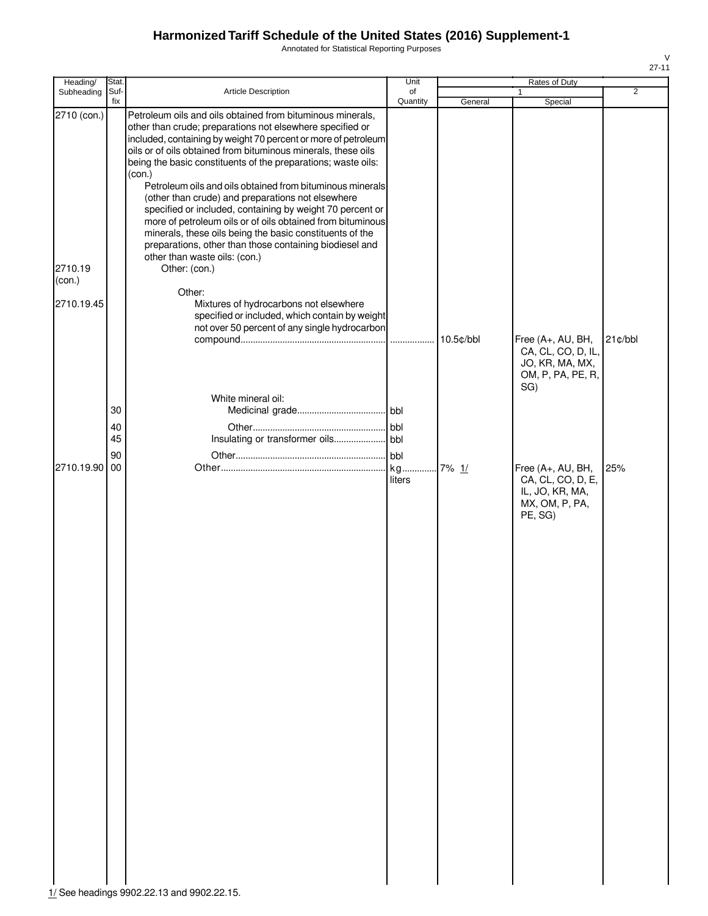Annotated for Statistical Reporting Purposes

| Heading/          | Stat.                |                                                                                                                                                                                                                                                                                                                                                                                                                                                                                                                                                                                                                                                                                                                                            | Unit               |           | Rates of Duty                                                                          |                |
|-------------------|----------------------|--------------------------------------------------------------------------------------------------------------------------------------------------------------------------------------------------------------------------------------------------------------------------------------------------------------------------------------------------------------------------------------------------------------------------------------------------------------------------------------------------------------------------------------------------------------------------------------------------------------------------------------------------------------------------------------------------------------------------------------------|--------------------|-----------|----------------------------------------------------------------------------------------|----------------|
| Subheading        | Suf-<br>fix          | Article Description                                                                                                                                                                                                                                                                                                                                                                                                                                                                                                                                                                                                                                                                                                                        | of<br>Quantity     | General   | 1<br>Special                                                                           | $\overline{2}$ |
| 2710 (con.)       |                      | Petroleum oils and oils obtained from bituminous minerals,<br>other than crude; preparations not elsewhere specified or<br>included, containing by weight 70 percent or more of petroleum<br>oils or of oils obtained from bituminous minerals, these oils<br>being the basic constituents of the preparations; waste oils:<br>(con.)<br>Petroleum oils and oils obtained from bituminous minerals<br>(other than crude) and preparations not elsewhere<br>specified or included, containing by weight 70 percent or<br>more of petroleum oils or of oils obtained from bituminous<br>minerals, these oils being the basic constituents of the<br>preparations, other than those containing biodiesel and<br>other than waste oils: (con.) |                    |           |                                                                                        |                |
| 2710.19<br>(con.) |                      | Other: (con.)                                                                                                                                                                                                                                                                                                                                                                                                                                                                                                                                                                                                                                                                                                                              |                    |           |                                                                                        |                |
| 2710.19.45        |                      | Other:<br>Mixtures of hydrocarbons not elsewhere<br>specified or included, which contain by weight<br>not over 50 percent of any single hydrocarbon                                                                                                                                                                                                                                                                                                                                                                                                                                                                                                                                                                                        |                    | 10.5¢/bbl | Free (A+, AU, BH,<br>CA, CL, CO, D, IL,<br>JO, KR, MA, MX,<br>OM, P, PA, PE, R,        | 21¢/bbl        |
|                   | 30<br>40<br>45<br>90 | White mineral oil:                                                                                                                                                                                                                                                                                                                                                                                                                                                                                                                                                                                                                                                                                                                         | bbl                |           | SG)                                                                                    |                |
| 2710.19.90 00     |                      |                                                                                                                                                                                                                                                                                                                                                                                                                                                                                                                                                                                                                                                                                                                                            | kg 7% 1/<br>liters |           | Free (A+, AU, BH,<br>CA, CL, CO, D, E,<br>IL, JO, KR, MA,<br>MX, OM, P, PA,<br>PE, SG) | 25%            |

1/ See headings 9902.22.13 and 9902.22.15.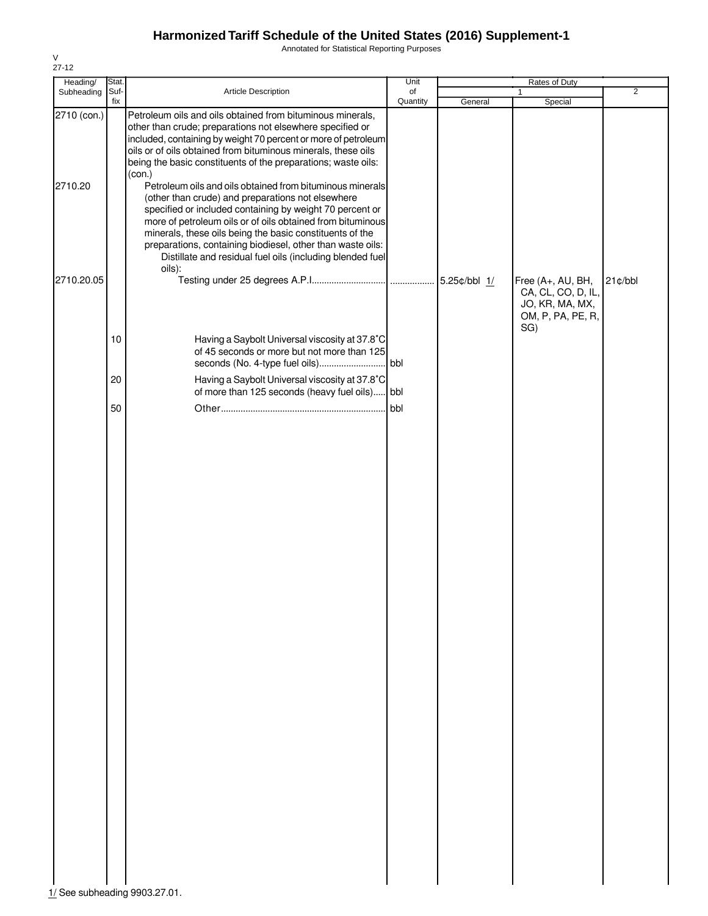Annotated for Statistical Reporting Purposes

| Heading/                      | Stat.       |                                                                                                                                                                                                                                                                                                                                                                                                                                           | Unit     | Rates of Duty |                                                                                        |         |
|-------------------------------|-------------|-------------------------------------------------------------------------------------------------------------------------------------------------------------------------------------------------------------------------------------------------------------------------------------------------------------------------------------------------------------------------------------------------------------------------------------------|----------|---------------|----------------------------------------------------------------------------------------|---------|
| Subheading                    | Suf-<br>fix | Article Description                                                                                                                                                                                                                                                                                                                                                                                                                       | of       |               | 1                                                                                      | 2       |
| 2710 (con.)                   |             | Petroleum oils and oils obtained from bituminous minerals,<br>other than crude; preparations not elsewhere specified or<br>included, containing by weight 70 percent or more of petroleum<br>oils or of oils obtained from bituminous minerals, these oils<br>being the basic constituents of the preparations; waste oils:<br>(con.)                                                                                                     | Quantity | General       | Special                                                                                |         |
| 2710.20                       |             | Petroleum oils and oils obtained from bituminous minerals<br>(other than crude) and preparations not elsewhere<br>specified or included containing by weight 70 percent or<br>more of petroleum oils or of oils obtained from bituminous<br>minerals, these oils being the basic constituents of the<br>preparations, containing biodiesel, other than waste oils:<br>Distillate and residual fuel oils (including blended fuel<br>oils): |          |               |                                                                                        |         |
| 2710.20.05                    |             |                                                                                                                                                                                                                                                                                                                                                                                                                                           |          |               | Free (A+, AU, BH,<br>CA, CL, CO, D, IL,<br>JO, KR, MA, MX,<br>OM, P, PA, PE, R,<br>SG) | 21¢/bbl |
|                               | 10          | Having a Saybolt Universal viscosity at 37.8°C<br>of 45 seconds or more but not more than 125                                                                                                                                                                                                                                                                                                                                             |          |               |                                                                                        |         |
|                               | 20          | Having a Saybolt Universal viscosity at 37.8°C<br>of more than 125 seconds (heavy fuel oils) bbl                                                                                                                                                                                                                                                                                                                                          |          |               |                                                                                        |         |
|                               | 50          |                                                                                                                                                                                                                                                                                                                                                                                                                                           | bbl      |               |                                                                                        |         |
|                               |             |                                                                                                                                                                                                                                                                                                                                                                                                                                           |          |               |                                                                                        |         |
|                               |             |                                                                                                                                                                                                                                                                                                                                                                                                                                           |          |               |                                                                                        |         |
|                               |             |                                                                                                                                                                                                                                                                                                                                                                                                                                           |          |               |                                                                                        |         |
|                               |             |                                                                                                                                                                                                                                                                                                                                                                                                                                           |          |               |                                                                                        |         |
|                               |             |                                                                                                                                                                                                                                                                                                                                                                                                                                           |          |               |                                                                                        |         |
|                               |             |                                                                                                                                                                                                                                                                                                                                                                                                                                           |          |               |                                                                                        |         |
| 1/ See subheading 9903.27.01. |             |                                                                                                                                                                                                                                                                                                                                                                                                                                           |          |               |                                                                                        |         |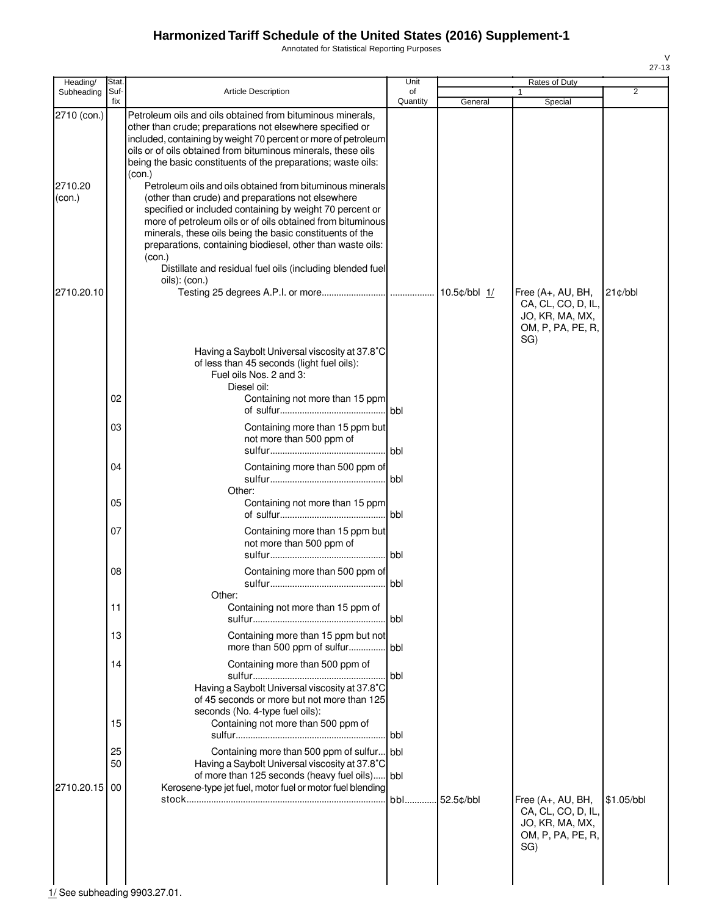Annotated for Statistical Reporting Purposes

| Heading/          | Stat.       |                                                                                                                                                                                                                                                                                                                                                                                                                                           | Unit<br>Rates of Duty |                |                                                                                          |                |  |  |
|-------------------|-------------|-------------------------------------------------------------------------------------------------------------------------------------------------------------------------------------------------------------------------------------------------------------------------------------------------------------------------------------------------------------------------------------------------------------------------------------------|-----------------------|----------------|------------------------------------------------------------------------------------------|----------------|--|--|
| Subheading        | Suf-<br>fix | <b>Article Description</b>                                                                                                                                                                                                                                                                                                                                                                                                                | of<br>Quantity        | General        | Special                                                                                  | $\overline{2}$ |  |  |
| 2710 (con.)       |             | Petroleum oils and oils obtained from bituminous minerals,<br>other than crude; preparations not elsewhere specified or<br>included, containing by weight 70 percent or more of petroleum<br>oils or of oils obtained from bituminous minerals, these oils<br>being the basic constituents of the preparations; waste oils:<br>(con.)                                                                                                     |                       |                |                                                                                          |                |  |  |
| 2710.20<br>(con.) |             | Petroleum oils and oils obtained from bituminous minerals<br>(other than crude) and preparations not elsewhere<br>specified or included containing by weight 70 percent or<br>more of petroleum oils or of oils obtained from bituminous<br>minerals, these oils being the basic constituents of the<br>preparations, containing biodiesel, other than waste oils:<br>(con.)<br>Distillate and residual fuel oils (including blended fuel |                       |                |                                                                                          |                |  |  |
| 2710.20.10        |             | oils): (con.)                                                                                                                                                                                                                                                                                                                                                                                                                             |                       | $10.5¢/bbl$ 1/ | Free (A+, AU, BH,<br>CA, CL, CO, D, IL,<br>JO, KR, MA, MX,<br>OM, P, PA, PE, R,<br>SG)   | $21$ ¢/bbl     |  |  |
|                   |             | Having a Saybolt Universal viscosity at 37.8°C<br>of less than 45 seconds (light fuel oils):<br>Fuel oils Nos. 2 and 3:<br>Diesel oil:                                                                                                                                                                                                                                                                                                    |                       |                |                                                                                          |                |  |  |
|                   | 02          | Containing not more than 15 ppm                                                                                                                                                                                                                                                                                                                                                                                                           | bbl                   |                |                                                                                          |                |  |  |
|                   | 03          | Containing more than 15 ppm but<br>not more than 500 ppm of                                                                                                                                                                                                                                                                                                                                                                               |                       |                |                                                                                          |                |  |  |
|                   | 04          | Containing more than 500 ppm of                                                                                                                                                                                                                                                                                                                                                                                                           | bbl                   |                |                                                                                          |                |  |  |
|                   | 05          | Other:<br>Containing not more than 15 ppm                                                                                                                                                                                                                                                                                                                                                                                                 |                       |                |                                                                                          |                |  |  |
|                   | 07          | Containing more than 15 ppm but<br>not more than 500 ppm of                                                                                                                                                                                                                                                                                                                                                                               |                       |                |                                                                                          |                |  |  |
|                   | 08          | Containing more than 500 ppm of                                                                                                                                                                                                                                                                                                                                                                                                           | l bbl                 |                |                                                                                          |                |  |  |
|                   | 11          | Other:<br>Containing not more than 15 ppm of                                                                                                                                                                                                                                                                                                                                                                                              |                       |                |                                                                                          |                |  |  |
|                   | 13          | Containing more than 15 ppm but not<br>more than 500 ppm of sulfur bbl                                                                                                                                                                                                                                                                                                                                                                    |                       |                |                                                                                          |                |  |  |
|                   | 14          | Containing more than 500 ppm of<br>Having a Saybolt Universal viscosity at 37.8°C<br>of 45 seconds or more but not more than 125<br>seconds (No. 4-type fuel oils):                                                                                                                                                                                                                                                                       | <b>bbl</b>            |                |                                                                                          |                |  |  |
|                   | 15          | Containing not more than 500 ppm of                                                                                                                                                                                                                                                                                                                                                                                                       | l bbl                 |                |                                                                                          |                |  |  |
|                   | 25<br>50    | Containing more than 500 ppm of sulfur bbl<br>Having a Saybolt Universal viscosity at 37.8°C<br>of more than 125 seconds (heavy fuel oils) bbl                                                                                                                                                                                                                                                                                            |                       |                |                                                                                          |                |  |  |
| 2710.20.15        | -00         | Kerosene-type jet fuel, motor fuel or motor fuel blending                                                                                                                                                                                                                                                                                                                                                                                 | bbl                   | 52.5¢/bbl      | Free $(A+, AU, BH,$<br>CA, CL, CO, D, IL,<br>JO, KR, MA, MX,<br>OM, P, PA, PE, R,<br>SG) | \$1.05/bbl     |  |  |
|                   |             |                                                                                                                                                                                                                                                                                                                                                                                                                                           |                       |                |                                                                                          |                |  |  |

 $\frac{1}{1}$ See subheading 9903.27.01.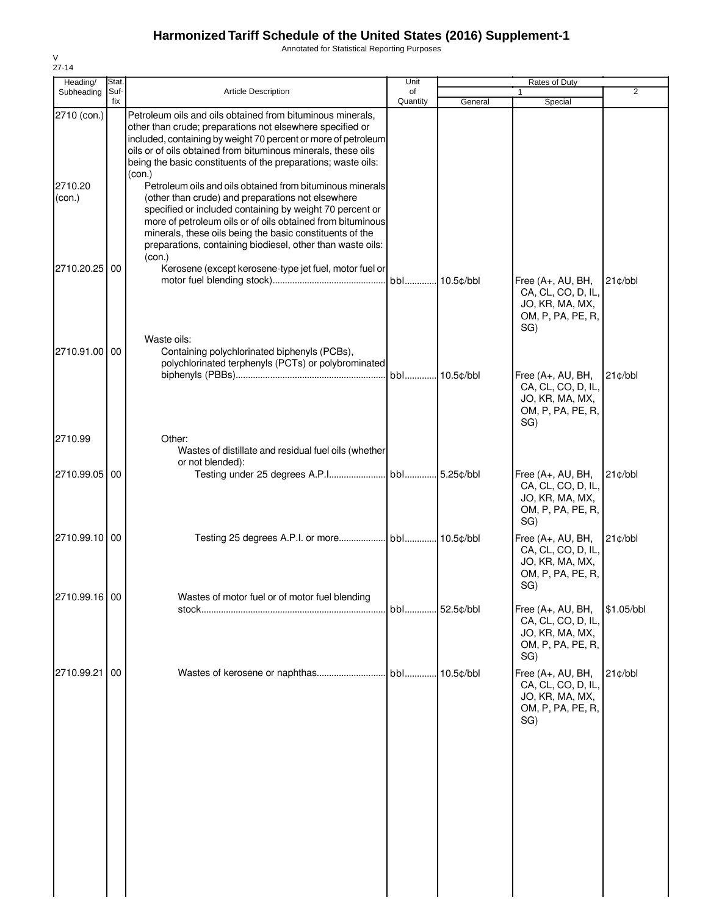Annotated for Statistical Reporting Purposes

| Special                                                                                | 2          |
|----------------------------------------------------------------------------------------|------------|
|                                                                                        |            |
|                                                                                        |            |
|                                                                                        |            |
| Free (A+, AU, BH,<br>CA, CL, CO, D, IL,<br>JO, KR, MA, MX,<br>OM, P, PA, PE, R,<br>SG) | 21¢/bbl    |
| Free (A+, AU, BH,<br>CA, CL, CO, D, IL,<br>JO, KR, MA, MX,<br>OM, P, PA, PE, R,        | $21$ ¢/bbl |
| SG)                                                                                    |            |
| Free (A+, AU, BH,<br>CA, CL, CO, D, IL,<br>JO, KR, MA, MX,<br>OM, P, PA, PE, R,<br>SG) | 21¢/bbl    |
| Free (A+, AU, BH,<br>CA, CL, CO, D, IL,<br>JO, KR, MA, MX,<br>OM, P, PA, PE, R,<br>SG) | 21c/bbl    |
| Free (A+, AU, BH,<br>CA, CL, CO, D, IL,<br>JO, KR, MA, MX,<br>OM, P, PA, PE, R,<br>SG) | \$1.05/bbl |
| Free (A+, AU, BH,<br>CA, CL, CO, D, IL,<br>JO, KR, MA, MX,<br>OM, P, PA, PE, R,<br>SG) | $21$ ¢/bbl |
|                                                                                        |            |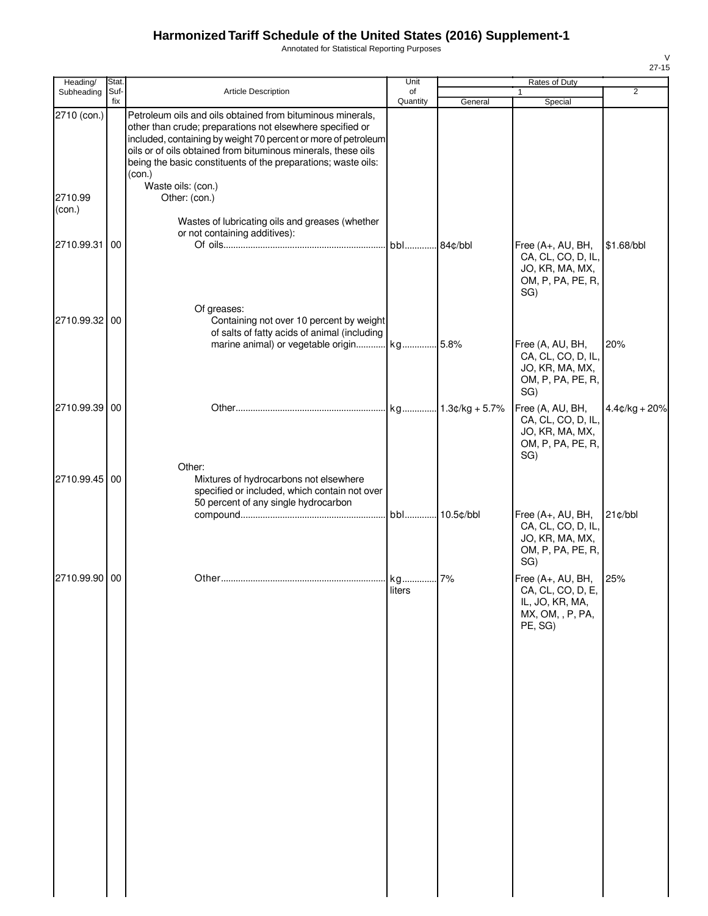Annotated for Statistical Reporting Purposes

| Heading/          | Stat.       |                                                                                                                                                                                                                                                                                                                                       | Unit           | Rates of Duty |                                                                                          |                 |  |  |
|-------------------|-------------|---------------------------------------------------------------------------------------------------------------------------------------------------------------------------------------------------------------------------------------------------------------------------------------------------------------------------------------|----------------|---------------|------------------------------------------------------------------------------------------|-----------------|--|--|
| Subheading        | Suf-<br>fix | Article Description                                                                                                                                                                                                                                                                                                                   | of<br>Quantity | General       | 1<br>Special                                                                             | $\overline{2}$  |  |  |
| 2710 (con.)       |             | Petroleum oils and oils obtained from bituminous minerals,<br>other than crude; preparations not elsewhere specified or<br>included, containing by weight 70 percent or more of petroleum<br>oils or of oils obtained from bituminous minerals, these oils<br>being the basic constituents of the preparations; waste oils:<br>(con.) |                |               |                                                                                          |                 |  |  |
| 2710.99<br>(con.) |             | Waste oils: (con.)<br>Other: (con.)                                                                                                                                                                                                                                                                                                   |                |               |                                                                                          |                 |  |  |
| 2710.99.31 00     |             | Wastes of lubricating oils and greases (whether<br>or not containing additives):                                                                                                                                                                                                                                                      | bbl 84¢/bbl    |               | Free (A+, AU, BH,                                                                        | \$1.68/bbl      |  |  |
|                   |             |                                                                                                                                                                                                                                                                                                                                       |                |               | CA, CL, CO, D, IL,<br>JO, KR, MA, MX,<br>OM, P, PA, PE, R,<br>SG)                        |                 |  |  |
| 2710.99.32 00     |             | Of greases:<br>Containing not over 10 percent by weight<br>of salts of fatty acids of animal (including                                                                                                                                                                                                                               |                |               |                                                                                          |                 |  |  |
|                   |             | marine animal) or vegetable origin kg 5.8%                                                                                                                                                                                                                                                                                            |                |               | Free (A, AU, BH,<br>CA, CL, CO, D, IL,<br>JO, KR, MA, MX,<br>OM, P, PA, PE, R,<br>SG)    | 20%             |  |  |
| 2710.99.39 00     |             |                                                                                                                                                                                                                                                                                                                                       |                |               | Free (A, AU, BH,<br>CA, CL, CO, D, IL,<br>JO, KR, MA, MX,<br>OM, P, PA, PE, R,<br>SG)    | $4.4¢/kg + 20%$ |  |  |
| 2710.99.45 00     |             | Other:<br>Mixtures of hydrocarbons not elsewhere<br>specified or included, which contain not over<br>50 percent of any single hydrocarbon                                                                                                                                                                                             |                |               |                                                                                          |                 |  |  |
|                   |             |                                                                                                                                                                                                                                                                                                                                       |                |               | Free (A+, AU, BH,<br>CA, CL, CO, D, IL,<br>JO, KR, MA, MX,<br>OM, P, PA, PE, R,<br>SG)   | 21¢/bbl         |  |  |
| 2710.99.90 00     |             |                                                                                                                                                                                                                                                                                                                                       | liters         |               | Free (A+, AU, BH,<br>CA, CL, CO, D, E,<br>IL, JO, KR, MA,<br>MX, OM, , P, PA,<br>PE, SG) | 25%             |  |  |
|                   |             |                                                                                                                                                                                                                                                                                                                                       |                |               |                                                                                          |                 |  |  |
|                   |             |                                                                                                                                                                                                                                                                                                                                       |                |               |                                                                                          |                 |  |  |
|                   |             |                                                                                                                                                                                                                                                                                                                                       |                |               |                                                                                          |                 |  |  |
|                   |             |                                                                                                                                                                                                                                                                                                                                       |                |               |                                                                                          |                 |  |  |
|                   |             |                                                                                                                                                                                                                                                                                                                                       |                |               |                                                                                          |                 |  |  |
|                   |             |                                                                                                                                                                                                                                                                                                                                       |                |               |                                                                                          |                 |  |  |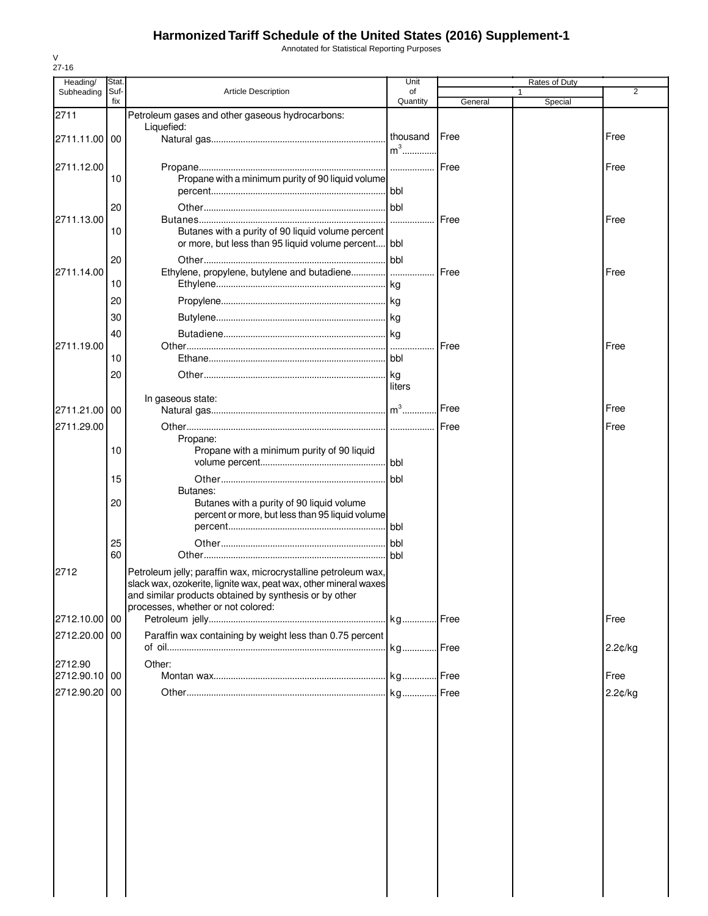Annotated for Statistical Reporting Purposes

| Heading/      | <b>Stat</b> |                                                                                                                            | Unit             |         |              |                |
|---------------|-------------|----------------------------------------------------------------------------------------------------------------------------|------------------|---------|--------------|----------------|
| Subheading    | Suf-<br>fix | <b>Article Description</b>                                                                                                 | of<br>Quantity   | General | 1<br>Special | $\overline{2}$ |
| 2711          |             | Petroleum gases and other gaseous hydrocarbons:                                                                            |                  |         |              |                |
|               |             | Liquefied:                                                                                                                 |                  | Free    |              | Free           |
| 2711.11.00 00 |             |                                                                                                                            | thousand<br>$m3$ |         |              |                |
|               |             |                                                                                                                            |                  |         |              |                |
| 2711.12.00    | 10          | Propane with a minimum purity of 90 liquid volume                                                                          |                  |         |              | Free           |
|               |             |                                                                                                                            |                  |         |              |                |
|               | 20          |                                                                                                                            |                  |         |              |                |
| 2711.13.00    |             |                                                                                                                            | .                | Free    |              | Free           |
|               | 10          | Butanes with a purity of 90 liquid volume percent                                                                          |                  |         |              |                |
|               |             | or more, but less than 95 liquid volume percent bbl                                                                        |                  |         |              |                |
|               | 20          |                                                                                                                            |                  |         |              |                |
| 2711.14.00    | 10          | Ethylene, propylene, butylene and butadiene                                                                                |                  | Free    |              | Free           |
|               |             |                                                                                                                            |                  |         |              |                |
|               | 20          |                                                                                                                            |                  |         |              |                |
|               | 30          |                                                                                                                            |                  |         |              |                |
|               | 40          |                                                                                                                            |                  |         |              |                |
| 2711.19.00    | 10          |                                                                                                                            |                  | Free    |              | Free           |
|               | 20          |                                                                                                                            | l ka             |         |              |                |
|               |             |                                                                                                                            | liters           |         |              |                |
|               |             | In gaseous state:                                                                                                          |                  |         |              |                |
| 2711.21.00    | 00          |                                                                                                                            |                  | Free    |              | Free           |
| 2711.29.00    |             |                                                                                                                            |                  |         |              | Free           |
|               |             | Propane:                                                                                                                   |                  |         |              |                |
|               | 10          | Propane with a minimum purity of 90 liquid                                                                                 |                  |         |              |                |
|               | 15          |                                                                                                                            | bbl              |         |              |                |
|               |             | Butanes:                                                                                                                   |                  |         |              |                |
|               | 20          | Butanes with a purity of 90 liquid volume                                                                                  |                  |         |              |                |
|               |             | percent or more, but less than 95 liquid volume                                                                            |                  |         |              |                |
|               |             |                                                                                                                            | bbl              |         |              |                |
|               | 25          |                                                                                                                            | bbl              |         |              |                |
|               | 60          |                                                                                                                            | l bbl            |         |              |                |
| 2712          |             | Petroleum jelly; paraffin wax, microcrystalline petroleum wax,                                                             |                  |         |              |                |
|               |             | slack wax, ozokerite, lignite wax, peat wax, other mineral waxes<br>and similar products obtained by synthesis or by other |                  |         |              |                |
|               |             | processes, whether or not colored:                                                                                         |                  |         |              |                |
| 2712.10.00 00 |             |                                                                                                                            |                  |         |              | Free           |
| 2712.20.00 00 |             | Paraffin wax containing by weight less than 0.75 percent                                                                   |                  |         |              |                |
|               |             |                                                                                                                            |                  |         |              | 2.2¢/kg        |
| 2712.90       |             | Other:                                                                                                                     |                  |         |              |                |
| 2712.90.10 00 |             |                                                                                                                            |                  |         |              | Free           |
| 2712.90.20    | 00          |                                                                                                                            |                  |         |              | 2.2¢/kg        |
|               |             |                                                                                                                            |                  |         |              |                |
|               |             |                                                                                                                            |                  |         |              |                |
|               |             |                                                                                                                            |                  |         |              |                |
|               |             |                                                                                                                            |                  |         |              |                |
|               |             |                                                                                                                            |                  |         |              |                |
|               |             |                                                                                                                            |                  |         |              |                |
|               |             |                                                                                                                            |                  |         |              |                |
|               |             |                                                                                                                            |                  |         |              |                |
|               |             |                                                                                                                            |                  |         |              |                |
|               |             |                                                                                                                            |                  |         |              |                |
|               |             |                                                                                                                            |                  |         |              |                |
|               |             |                                                                                                                            |                  |         |              |                |
|               |             |                                                                                                                            |                  |         |              |                |